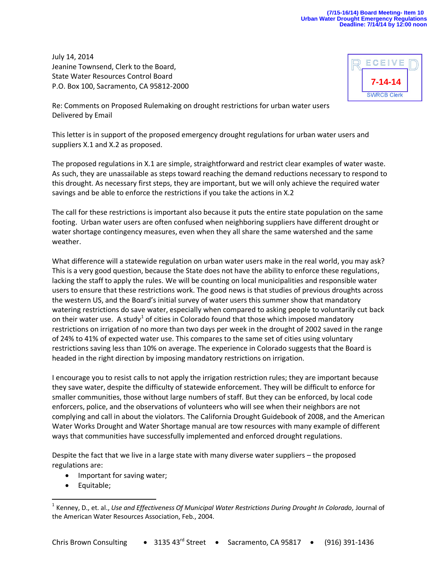## **(7/15-16/14) Board Meeting- Item 10 Urban Water Drought Emergency Regulations Deadline: 7/14/14 by 12:00 noon**

July 14, 2014 Jeanine Townsend, Clerk to the Board, State Water Resources Control Board P.O. Box 100, Sacramento, CA 95812-2000

| ECEIVE             |  |
|--------------------|--|
| $7 - 14 - 14$      |  |
| <b>SWRCB Clerk</b> |  |

Re: Comments on Proposed Rulemaking on drought restrictions for urban water users Delivered by Email

This letter is in support of the proposed emergency drought regulations for urban water users and suppliers X.1 and X.2 as proposed.

The proposed regulations in X.1 are simple, straightforward and restrict clear examples of water waste. As such, they are unassailable as steps toward reaching the demand reductions necessary to respond to this drought. As necessary first steps, they are important, but we will only achieve the required water savings and be able to enforce the restrictions if you take the actions in X.2

The call for these restrictions is important also because it puts the entire state population on the same footing. Urban water users are often confused when neighboring suppliers have different drought or water shortage contingency measures, even when they all share the same watershed and the same weather.

What difference will a statewide regulation on urban water users make in the real world, you may ask? This is a very good question, because the State does not have the ability to enforce these regulations, lacking the staff to apply the rules. We will be counting on local municipalities and responsible water users to ensure that these restrictions work. The good news is that studies of previous droughts across the western US, and the Board's initial survey of water users this summer show that mandatory watering restrictions do save water, especially when compared to asking people to voluntarily cut back on their water use. A study<sup>1</sup> of cities in Colorado found that those which imposed mandatory restrictions on irrigation of no more than two days per week in the drought of 2002 saved in the range of 24% to 41% of expected water use. This compares to the same set of cities using voluntary restrictions saving less than 10% on average. The experience in Colorado suggests that the Board is headed in the right direction by imposing mandatory restrictions on irrigation.

I encourage you to resist calls to not apply the irrigation restriction rules; they are important because they save water, despite the difficulty of statewide enforcement. They will be difficult to enforce for smaller communities, those without large numbers of staff. But they can be enforced, by local code enforcers, police, and the observations of volunteers who will see when their neighbors are not complying and call in about the violators. The California Drought Guidebook of 2008, and the American Water Works Drought and Water Shortage manual are tow resources with many example of different ways that communities have successfully implemented and enforced drought regulations.

Despite the fact that we live in a large state with many diverse water suppliers – the proposed regulations are:

- Important for saving water;
- Equitable;

 $\overline{a}$ 

<sup>&</sup>lt;sup>1</sup> Kenney, D., et. al., *Use and Effectiveness Of Municipal Water Restrictions During Drought In Colorado, Journal of* the American Water Resources Association, Feb., 2004.